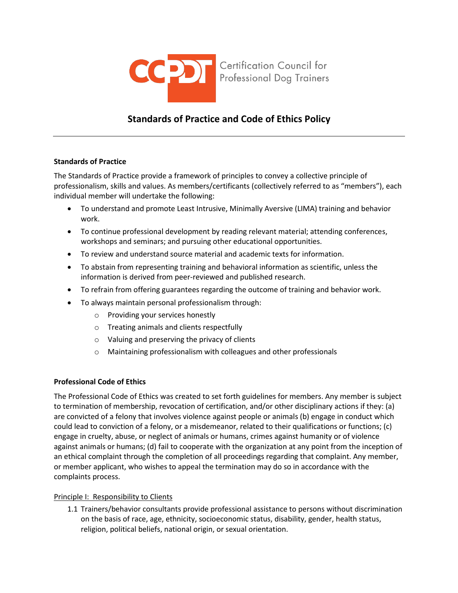

# **Standards of Practice and Code of Ethics Policy**

## **Standards of Practice**

The Standards of Practice provide a framework of principles to convey a collective principle of professionalism, skills and values. As members/certificants (collectively referred to as "members"), each individual member will undertake the following:

- To understand and promote Least Intrusive, Minimally Aversive (LIMA) training and behavior work.
- To continue professional development by reading relevant material; attending conferences, workshops and seminars; and pursuing other educational opportunities.
- To review and understand source material and academic texts for information.
- To abstain from representing training and behavioral information as scientific, unless the information is derived from peer-reviewed and published research.
- To refrain from offering guarantees regarding the outcome of training and behavior work.
- To always maintain personal professionalism through:
	- o Providing your services honestly
	- o Treating animals and clients respectfully
	- o Valuing and preserving the privacy of clients
	- o Maintaining professionalism with colleagues and other professionals

# **Professional Code of Ethics**

The Professional Code of Ethics was created to set forth guidelines for members. Any member is subject to termination of membership, revocation of certification, and/or other disciplinary actions if they: (a) are convicted of a felony that involves violence against people or animals (b) engage in conduct which could lead to conviction of a felony, or a misdemeanor, related to their qualifications or functions; (c) engage in cruelty, abuse, or neglect of animals or humans, crimes against humanity or of violence against animals or humans; (d) fail to cooperate with the organization at any point from the inception of an ethical complaint through the completion of all proceedings regarding that complaint. Any member, or member applicant, who wishes to appeal the termination may do so in accordance with the complaints process.

# Principle I: Responsibility to Clients

1.1 Trainers/behavior consultants provide professional assistance to persons without discrimination on the basis of race, age, ethnicity, socioeconomic status, disability, gender, health status, religion, political beliefs, national origin, or sexual orientation.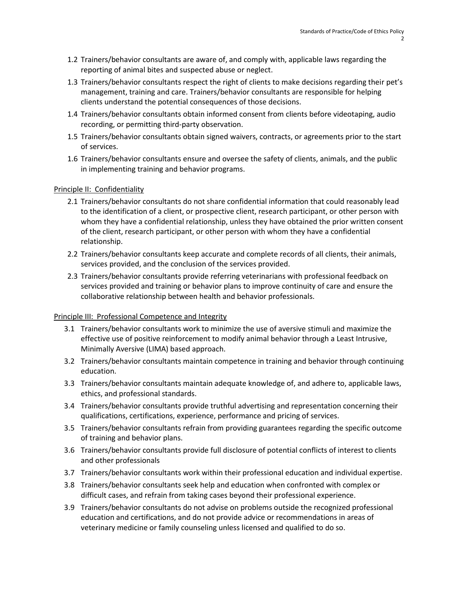- 1.2 Trainers/behavior consultants are aware of, and comply with, applicable laws regarding the reporting of animal bites and suspected abuse or neglect.
- 1.3 Trainers/behavior consultants respect the right of clients to make decisions regarding their pet's management, training and care. Trainers/behavior consultants are responsible for helping clients understand the potential consequences of those decisions.
- 1.4 Trainers/behavior consultants obtain informed consent from clients before videotaping, audio recording, or permitting third-party observation.
- 1.5 Trainers/behavior consultants obtain signed waivers, contracts, or agreements prior to the start of services.
- 1.6 Trainers/behavior consultants ensure and oversee the safety of clients, animals, and the public in implementing training and behavior programs.

## Principle II: Confidentiality

- 2.1 Trainers/behavior consultants do not share confidential information that could reasonably lead to the identification of a client, or prospective client, research participant, or other person with whom they have a confidential relationship, unless they have obtained the prior written consent of the client, research participant, or other person with whom they have a confidential relationship.
- 2.2 Trainers/behavior consultants keep accurate and complete records of all clients, their animals, services provided, and the conclusion of the services provided.
- 2.3 Trainers/behavior consultants provide referring veterinarians with professional feedback on services provided and training or behavior plans to improve continuity of care and ensure the collaborative relationship between health and behavior professionals.

#### Principle III: Professional Competence and Integrity

- 3.1 Trainers/behavior consultants work to minimize the use of aversive stimuli and maximize the effective use of positive reinforcement to modify animal behavior through a Least Intrusive, Minimally Aversive (LIMA) based approach.
- 3.2 Trainers/behavior consultants maintain competence in training and behavior through continuing education.
- 3.3 Trainers/behavior consultants maintain adequate knowledge of, and adhere to, applicable laws, ethics, and professional standards.
- 3.4 Trainers/behavior consultants provide truthful advertising and representation concerning their qualifications, certifications, experience, performance and pricing of services.
- 3.5 Trainers/behavior consultants refrain from providing guarantees regarding the specific outcome of training and behavior plans.
- 3.6 Trainers/behavior consultants provide full disclosure of potential conflicts of interest to clients and other professionals
- 3.7 Trainers/behavior consultants work within their professional education and individual expertise.
- 3.8 Trainers/behavior consultants seek help and education when confronted with complex or difficult cases, and refrain from taking cases beyond their professional experience.
- 3.9 Trainers/behavior consultants do not advise on problems outside the recognized professional education and certifications, and do not provide advice or recommendations in areas of veterinary medicine or family counseling unless licensed and qualified to do so.